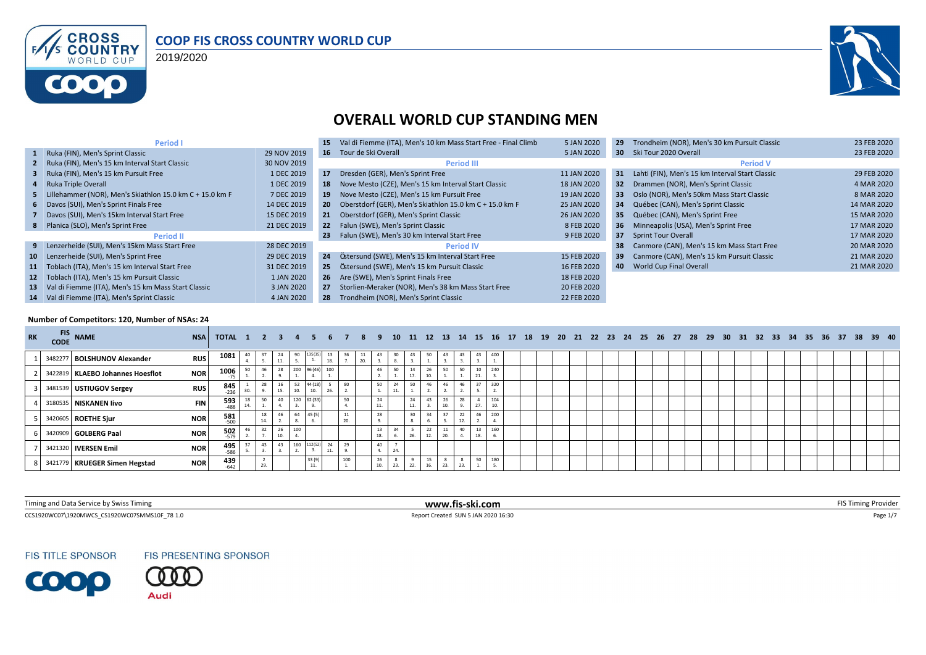

#### **COOP FIS CROSS COUNTRY WORLD CUP**

2019/2020



#### **OVERALL WORLD CUP STANDING MEN**

| Period I                                                      |             | 15              | Val di Fiemme (ITA), Men's 10 km Mass Start Free - Final Climb | 5 JAN 2020  | 29              | Trondheim (NOR), Men's 30 km Pursuit Classic    | 23 FEB 2020 |
|---------------------------------------------------------------|-------------|-----------------|----------------------------------------------------------------|-------------|-----------------|-------------------------------------------------|-------------|
| 1 Ruka (FIN), Men's Sprint Classic                            | 29 NOV 2019 |                 | 16 Tour de Ski Overall                                         | 5 JAN 2020  | 30 <sup>°</sup> | Ski Tour 2020 Overall                           | 23 FEB 2020 |
| 2 Ruka (FIN), Men's 15 km Interval Start Classic              | 30 NOV 2019 |                 | <b>Period III</b>                                              |             |                 | <b>Period V</b>                                 |             |
| 3 Ruka (FIN), Men's 15 km Pursuit Free                        | 1 DEC 2019  | 17              | Dresden (GER), Men's Sprint Free                               | 11 JAN 2020 | 31              | Lahti (FIN), Men's 15 km Interval Start Classic | 29 FEB 2020 |
| 4 Ruka Triple Overall                                         | 1 DEC 2019  | 18              | Nove Mesto (CZE), Men's 15 km Interval Start Classic           | 18 JAN 2020 | 32 <sub>2</sub> | Drammen (NOR), Men's Sprint Classic             | 4 MAR 2020  |
| 5 Lillehammer (NOR), Men's Skiathlon 15.0 km C + 15.0 km F    | 7 DEC 2019  | 19 <sup>°</sup> | Nove Mesto (CZE), Men's 15 km Pursuit Free                     | 19 JAN 2020 | 33              | Oslo (NOR), Men's 50km Mass Start Classic       | 8 MAR 2020  |
| 6 Davos (SUI), Men's Sprint Finals Free                       | 14 DEC 2019 |                 | 20 Oberstdorf (GER), Men's Skiathlon 15.0 km C + 15.0 km F     | 25 JAN 2020 | 34              | Québec (CAN), Men's Sprint Classic              | 14 MAR 2020 |
| 7 Davos (SUI), Men's 15km Interval Start Free                 | 15 DEC 2019 | 21              | Oberstdorf (GER), Men's Sprint Classic                         | 26 JAN 2020 | 35              | Québec (CAN), Men's Sprint Free                 | 15 MAR 2020 |
| 8 Planica (SLO), Men's Sprint Free                            | 21 DEC 2019 |                 | 22 Falun (SWE), Men's Sprint Classic                           | 8 FEB 2020  | 36              | Minneapolis (USA), Men's Sprint Free            | 17 MAR 2020 |
| <b>Period II</b>                                              |             | 23              | Falun (SWE), Men's 30 km Interval Start Free                   | 9 FEB 2020  | 37 <sup>2</sup> | <b>Sprint Tour Overall</b>                      | 17 MAR 2020 |
| Lenzerheide (SUI), Men's 15km Mass Start Free<br>9            | 28 DEC 2019 |                 | <b>Period IV</b>                                               |             | 38              | Canmore (CAN), Men's 15 km Mass Start Free      | 20 MAR 2020 |
| Lenzerheide (SUI), Men's Sprint Free<br>10                    | 29 DEC 2019 | 24              | Östersund (SWE), Men's 15 km Interval Start Free               | 15 FEB 2020 | 39              | Canmore (CAN), Men's 15 km Pursuit Classic      | 21 MAR 2020 |
| Toblach (ITA), Men's 15 km Interval Start Free<br>11          | 31 DEC 2019 | 25 <sub>1</sub> | Östersund (SWE), Men's 15 km Pursuit Classic                   | 16 FEB 2020 | 40              | <b>World Cup Final Overall</b>                  | 21 MAR 2020 |
| Toblach (ITA), Men's 15 km Pursuit Classic<br>12 <sup>7</sup> | 1 JAN 2020  | 26              | Are (SWE), Men's Sprint Finals Free                            | 18 FEB 2020 |                 |                                                 |             |
| Val di Fiemme (ITA), Men's 15 km Mass Start Classic<br>13     | 3 JAN 2020  | 27              | Storlien-Meraker (NOR), Men's 38 km Mass Start Free            | 20 FEB 2020 |                 |                                                 |             |
| Val di Fiemme (ITA), Men's Sprint Classic<br>14               | 4 JAN 2020  | 28              | Trondheim (NOR), Men's Sprint Classic                          | 22 FEB 2020 |                 |                                                 |             |

#### **Number of Competitors: 120, Number of NSAs: 24**

| <b>RK</b> |         | FIS NAME                           | <b>NSA</b> | TOTAL 1 2 3 4 5 6 7 8 9 |                |           |                 |                |               |                                          |                |                 |           |     |                |                |           |     |                    |           |  |  |  |  |  |  |  |  |  |  | 10 11 12 13 14 15 16 17 18 19 20 21 22 23 24 25 26 27 28 29 30 31 32 33 34 35 36 37 38 39 40 |
|-----------|---------|------------------------------------|------------|-------------------------|----------------|-----------|-----------------|----------------|---------------|------------------------------------------|----------------|-----------------|-----------|-----|----------------|----------------|-----------|-----|--------------------|-----------|--|--|--|--|--|--|--|--|--|--|----------------------------------------------------------------------------------------------|
|           | 3482277 | 7 BOLSHUNOV Alexander              | <b>RUS</b> | 1081                    | $\frac{40}{4}$ |           | $\frac{24}{11}$ | $\frac{90}{5}$ |               | $\begin{array}{c} 13 \\ 18. \end{array}$ | $\frac{3b}{n}$ | $\frac{11}{20}$ |           |     | $\frac{43}{9}$ | $\frac{50}{1}$ |           |     | $^{43}$            | 400       |  |  |  |  |  |  |  |  |  |  |                                                                                              |
|           |         | 3422819   KLAEBO Johannes Hoesflot | <b>NOR</b> | 1006                    |                | 46        | 28              | 200 96 (46)    |               | 100                                      |                |                 | 46        |     | 14<br>17       | 26<br>10.      | 50        |     | 10<br>21           | 240       |  |  |  |  |  |  |  |  |  |  |                                                                                              |
|           |         | 3481539 USTIUGOV Sergey            | <b>RUS</b> | $845$ <sub>236</sub>    | 30.            |           | 16<br>15.       | 52<br>10.      | 44 (18<br>10. |                                          | 80             |                 | 50        |     | 50             | 46             |           |     | 37                 | 320       |  |  |  |  |  |  |  |  |  |  |                                                                                              |
|           |         | 3180535 NISKANEN livo              | <b>FIN</b> | <b>593</b><br>-488      |                | 50        | 40              | 120            | 62 (33        |                                          | 50             |                 | 24<br>11. |     | 24<br>11.      | 43             | 26<br>10. |     | -4<br>27.          | 104<br>10 |  |  |  |  |  |  |  |  |  |  |                                                                                              |
|           |         | 3420605 ROETHE Sjur                | <b>NOR</b> | <b>581</b><br>500       |                | 18<br>14. | 46              | 64             | 45(5)         |                                          | 11             |                 | 28        |     | 30             | 34             |           | 12  | 46                 | 200       |  |  |  |  |  |  |  |  |  |  |                                                                                              |
|           |         | 6 3420909 GOLBERG Paal             | <b>NOR</b> | 502                     |                | 32        | 26              | 100            |               |                                          |                |                 | 18.       |     |                | 22<br>12.      | 20.       | 40  | 13<br>18.          | 160       |  |  |  |  |  |  |  |  |  |  |                                                                                              |
|           |         | 3421320 <b>IVERSEN Emil</b>        | <b>NOR</b> | 495<br>$-586$           |                | 43        | 43              |                | 160 112(52)   | 24<br>11.                                | 29             |                 | 40        | 24. |                |                |           |     |                    |           |  |  |  |  |  |  |  |  |  |  |                                                                                              |
|           |         | 3421779 KRUEGER Simen Hegstad      | <b>NOR</b> | 439<br>$-642$           |                | 29.       |                 |                | 33 (9)<br>11. |                                          | 100            |                 | 26<br>10. | 23. | 22.            | 15<br>16.      | 23.       | 23. | 50<br>$\mathbf{A}$ | 180       |  |  |  |  |  |  |  |  |  |  |                                                                                              |

| Timing and Data Service by Swiss Timing       | www.fis-ski.com                | <b>FIS</b><br>. iming Provider |
|-----------------------------------------------|--------------------------------|--------------------------------|
| CCS1920WC07\1920MWCS CS1920WC07SMMS10F 78 1.0 | t Created SUN 5 JAN 2020 16:30 | $.$ age 1//                    |

**FIS TITLE SPONSOR** 

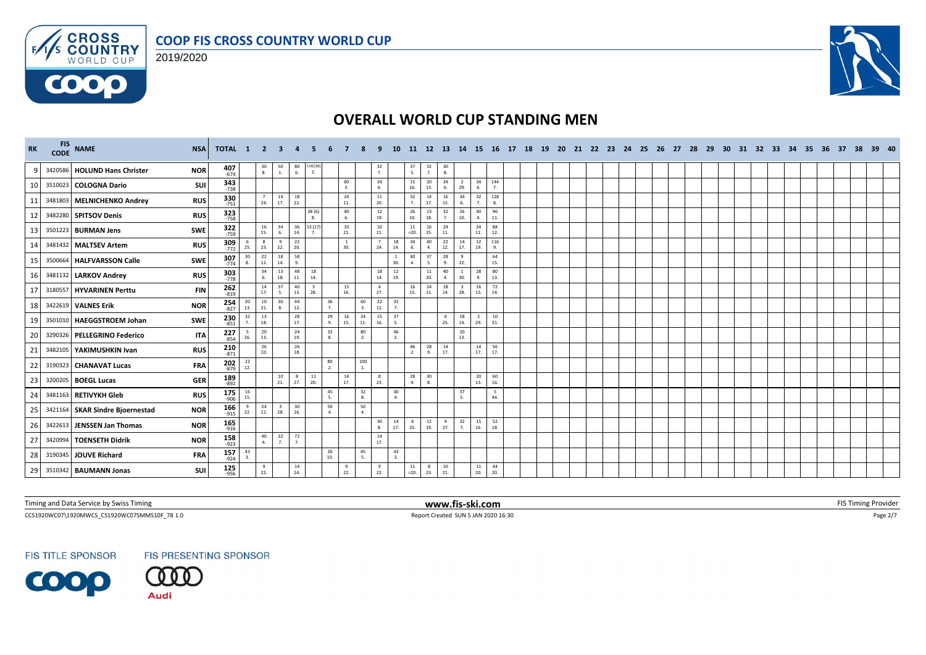





| RK           | FIS NAME                        | <b>NSA</b> | <b>TOTAL 1 2 3</b>    |                      |                                          |                                         |                                         |                                |                |                        |                       |                      |                                         |                    |                                         |                       |                       |                                          | 11 12 13 14 15 16 17 18 19 20 21 22 23 24 25 26 27 28 29 |  |  |  |  |  |  |  |  | 30 31 32 33 34 35 36 37 | 38 39 40 |  |
|--------------|---------------------------------|------------|-----------------------|----------------------|------------------------------------------|-----------------------------------------|-----------------------------------------|--------------------------------|----------------|------------------------|-----------------------|----------------------|-----------------------------------------|--------------------|-----------------------------------------|-----------------------|-----------------------|------------------------------------------|----------------------------------------------------------|--|--|--|--|--|--|--|--|-------------------------|----------|--|
| $\mathbf{q}$ | 3420586 HOLUND Hans Christer    | <b>NOR</b> | $407$<br>$-674$       |                      | $\begin{array}{c} 30 \\ 8. \end{array}$  | $\begin{array}{c} 50 \\ 1. \end{array}$ | $\begin{array}{c} 80 \\ 6. \end{array}$ | 116(36<br>2.                   |                |                        | $\frac{32}{7}$        |                      | $\begin{array}{c} 37 \\ 5. \end{array}$ | $\frac{32}{7}$     | $\begin{array}{c} 30 \\ 8. \end{array}$ |                       |                       |                                          |                                                          |  |  |  |  |  |  |  |  |                         |          |  |
| 10           | 3510023 COLOGNA Dario           | SUI        | 343<br>$-738$         |                      |                                          |                                         |                                         |                                |                | 60<br>3.               | 34<br>6.              |                      | 15<br>16.                               | 20<br>13.          | 34<br>6.                                | $\overline{2}$<br>29. | 34<br>6.              | 144<br>7.                                |                                                          |  |  |  |  |  |  |  |  |                         |          |  |
| 11           | 3481803 MELNICHENKO Andrey      | <b>RUS</b> | 330<br>$-751$         |                      | $\overline{7}$<br>24.                    | 14<br>17.                               | 18<br>22.                               |                                |                | 24<br>11.              | $11\,$<br>20.         |                      | 32<br>7 <sup>1</sup>                    | 14<br>17.          | 16<br>15.                               | 34                    | 32<br>7.              | 128<br>$\mathbf{R}$                      |                                                          |  |  |  |  |  |  |  |  |                         |          |  |
| 12           | 3482280 SPITSOV Denis           | <b>RUS</b> | <b>323</b><br>758     |                      |                                          |                                         |                                         | 38 (6)<br>-8.                  |                | 40<br>6.               | 12<br>19.             |                      | 26<br>10.                               | 13<br>18.          | 32<br>7.                                | 26<br>10.             | 40<br>4.              | 96<br>11.                                |                                                          |  |  |  |  |  |  |  |  |                         |          |  |
| 13           | 3501223 BURMAN Jens             | SWE        | 322<br>759            |                      | 16<br>15.                                | 34<br>-6.                               | 36<br>14.                               | 53 (17)                        |                | 10<br>21.              | $10\,$<br>21.         |                      | 11<br>$=20.$                            | 16<br>15.          | 24<br>11.                               |                       | 24<br>11.             | 88<br>12.                                |                                                          |  |  |  |  |  |  |  |  |                         |          |  |
| 14           | 3481432 MALTSEV Artem           | <b>RUS</b> | <b>309</b><br>772     | 25.                  | 8<br>23.                                 | -9<br>22.                               | 22<br>20.                               |                                |                | 1<br>30.               | 24.                   | 18<br>14.            | 34<br>6.                                | 40<br>$\mathbf{A}$ | 22<br>12.                               | 14<br>17.             | 12<br>19.             | 116<br>$\mathbf{q}$                      |                                                          |  |  |  |  |  |  |  |  |                         |          |  |
| 15           | 3500664 HALFVARSSON Calle       | SWE        | 307<br>$-774$         | 30<br>8.             | 22<br>12.                                | 18<br>14.                               | 58<br>9.                                |                                |                |                        |                       | <sup>1</sup><br>30.  | 40<br>4.                                | 37<br>5.           | 28<br>9.                                | 9<br>22.              |                       | 64<br>15.                                |                                                          |  |  |  |  |  |  |  |  |                         |          |  |
| 16           | 3481132 LARKOV Andrey           | <b>RUS</b> | 303<br>$-778$         |                      | 34<br>6.                                 | 13<br>18.                               | 48<br>$\bf 11.$                         | 18<br>14.                      |                |                        | 18<br>14.             | 12<br>19.            |                                         | 11<br>20.          | 40<br>4.                                | 1<br>30               | 28<br>9.              | 80<br>13.                                |                                                          |  |  |  |  |  |  |  |  |                         |          |  |
| 17           | 3180557 HYVARINEN Perttu        | <b>FIN</b> | $262$<br>-819         |                      | 14<br>17.                                | 37<br>5.                                | 40<br>13.                               | $\overline{\mathbf{3}}$<br>28. |                | 15<br>16.              | $\overline{4}$<br>27. |                      | 16<br>15.                               | 24<br>11.          | 18<br>14.                               | $\overline{3}$<br>28. | 16<br>15.             | 72<br>14.                                |                                                          |  |  |  |  |  |  |  |  |                         |          |  |
| 18           | 3422619 VALNES Erik             | <b>NOR</b> | $254 \over 827$       | 20<br>13.            | 10<br>21.                                | 30<br>8.                                | 44<br>12.                               |                                | $\frac{36}{7}$ | 60<br>$\mathbf{3}$     | 22<br>12.             | 32<br>$\overline{7}$ |                                         |                    |                                         |                       |                       |                                          |                                                          |  |  |  |  |  |  |  |  |                         |          |  |
| 19           | 3501010 HAEGGSTROEM Johan       | SWE        | $230$<br>$851$        | 32<br>$\overline{7}$ | 13<br>18.                                |                                         | 28<br>17.                               |                                | 29<br>9.       | 24<br>16<br>15.<br>11. | 15<br>16.             | 37<br>5.             |                                         |                    | - 6<br>25.                              | 18<br>14.             | $\overline{2}$<br>29. | 10<br>31.                                |                                                          |  |  |  |  |  |  |  |  |                         |          |  |
| 20           | 3290326 PELLEGRINO Federico     | <b>ITA</b> | 227<br>$-854$         | 26.                  | $\begin{array}{c} 20 \\ 13. \end{array}$ |                                         | 24<br>19.                               |                                | 32<br>8.       | 80<br>$\overline{2}$   |                       | 46<br>$\overline{2}$ |                                         |                    |                                         | 20<br>13.             |                       |                                          |                                                          |  |  |  |  |  |  |  |  |                         |          |  |
| 21           | 3482105 YAKIMUSHKIN Ivan        | <b>RUS</b> | 210<br>$-871$         |                      | 26<br>10.                                |                                         | $26\,$<br>18.                           |                                |                |                        |                       |                      | 46<br>2.                                | 28<br>9.           | $\frac{14}{17}$                         |                       | 14<br>17.             | 56<br>17.                                |                                                          |  |  |  |  |  |  |  |  |                         |          |  |
| 22           | 3190323 CHANAVAT Lucas          | <b>FRA</b> | $202$<br>$879$        | 22<br>12.            |                                          |                                         |                                         |                                | 80<br>2.       | 100<br>1.              |                       |                      |                                         |                    |                                         |                       |                       |                                          |                                                          |  |  |  |  |  |  |  |  |                         |          |  |
| 23           | 3200205 BOEGL Lucas             | <b>GER</b> | 189<br>$-892$         |                      |                                          | 10<br>21.                               | 8<br>27.                                | 11<br>20.                      |                | 14<br>17.              | 8<br>23.              |                      | 28<br>$\alpha$                          | 30<br>8.           |                                         |                       | 20<br>13.             | $\begin{array}{c} 60 \\ 16. \end{array}$ |                                                          |  |  |  |  |  |  |  |  |                         |          |  |
| 24           | 3481163 RETIVYKH Gleb           | <b>RUS</b> | $175$ <sub>-906</sub> | 16<br>15.            |                                          |                                         |                                         |                                | 45<br>-5.      | 32<br>-8.              |                       | 40<br>$\Delta$       |                                         |                    |                                         | 37                    |                       | 5<br>44.                                 |                                                          |  |  |  |  |  |  |  |  |                         |          |  |
| 25           | 3421164 SKAR Sindre Bioernestad | <b>NOR</b> | $166$<br>-915         | $\mathbf{q}$<br>22.  | 24<br>11.                                | $\overline{\mathbf{3}}$<br>28.          | 30<br>16.                               |                                | 50<br>4.       | 50<br>4.               |                       |                      |                                         |                    |                                         |                       |                       |                                          |                                                          |  |  |  |  |  |  |  |  |                         |          |  |
| 26           | 3422613 JENSSEN Jan Thomas      | <b>NOR</b> | $165$ <sub>-916</sub> |                      |                                          |                                         |                                         |                                |                |                        | 30 <sub>o</sub><br>8. | 14<br>17.            | 6<br>25.                                | 12<br>19.          | $\overline{4}$<br>27.                   | 32<br>7.              | 15<br>16.             | 52<br>18.                                |                                                          |  |  |  |  |  |  |  |  |                         |          |  |
| 27           | 3420994 TOENSETH Didrik         | <b>NOR</b> | $158$ <sub>-923</sub> |                      | 40<br>4.                                 | 32<br>7.                                | 72<br>7.                                |                                |                |                        | 14<br>17.             |                      |                                         |                    |                                         |                       |                       |                                          |                                                          |  |  |  |  |  |  |  |  |                         |          |  |
| 28           | 3190345 JOUVE Richard           | <b>FRA</b> | $157$ <sub>-924</sub> | 43                   |                                          |                                         |                                         |                                | 26<br>10.      | 45<br>- 5.             |                       | 43<br>$\overline{3}$ |                                         |                    |                                         |                       |                       |                                          |                                                          |  |  |  |  |  |  |  |  |                         |          |  |
| 29           | 3510342 BAUMANN Jonas           | SUI        | $125$ <sub>956</sub>  |                      | 9<br>22.                                 |                                         | 14<br>24.                               |                                |                | 9<br>22.               | 9<br>22.              |                      | 11<br>$=20.$                            | 8<br>23.           | 10<br>21.                               |                       | 11<br>20.             | 44<br>20.                                |                                                          |  |  |  |  |  |  |  |  |                         |          |  |

Timing and Data Service by Swiss Timing **WWW.fis-ski.com WWW.fis-ski.com FIS Timing Provider** FIS Timing Provider

CCS1920WC07\1920MWCS\_CS1920WC07SMMS10F\_78 1.0 Report Created SUN 5 JAN 2020 16:30 Page 2/7

**FIS TITLE SPONSOR** 



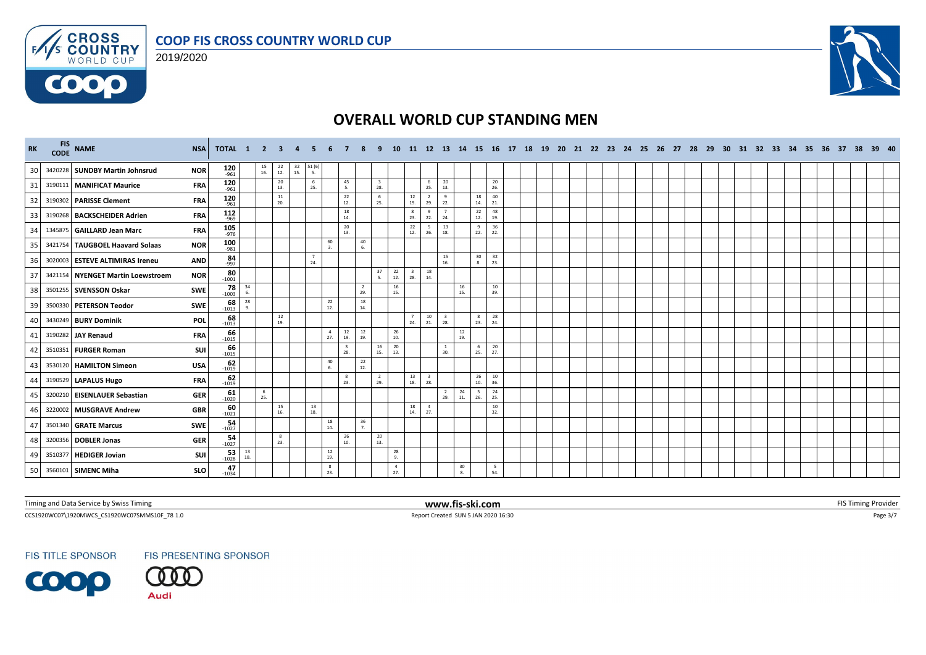





| RK | FIS NAME                          | <b>NSA</b> | TOTAL 1 2             |           |                                          | $\mathbf{3}$      |                                                           |                        |                                          |                                                |                                | <b>10</b>             |                                |                                | 11 12 13 14 15 16 17           |                 |                                         |                 | 18 19 20 |  |  | 21 22 23 24 25 26 27 |  | - 28 | 29 30 |  | 31 32 33 34 35 |  | 36 37 | -38 | 39 40 |
|----|-----------------------------------|------------|-----------------------|-----------|------------------------------------------|-------------------|-----------------------------------------------------------|------------------------|------------------------------------------|------------------------------------------------|--------------------------------|-----------------------|--------------------------------|--------------------------------|--------------------------------|-----------------|-----------------------------------------|-----------------|----------|--|--|----------------------|--|------|-------|--|----------------|--|-------|-----|-------|
| 30 | 3420228 SUNDBY Martin Johnsrud    | <b>NOR</b> | $120$ <sub>-961</sub> |           | $\begin{array}{c} 15 \\ 16. \end{array}$ | $^{22}_{12}$      | $\begin{array}{c} 32 \\ 15. \end{array}$<br>$51(6)$<br>5. |                        |                                          |                                                |                                |                       |                                |                                |                                |                 |                                         |                 |          |  |  |                      |  |      |       |  |                |  |       |     |       |
| 31 | 3190111   MANIFICAT Maurice       | <b>FRA</b> | 120<br>$-961$         |           |                                          | 20<br>13.         |                                                           | 6<br>25.               | 45<br>5.                                 |                                                | $\overline{\mathbf{3}}$<br>28. |                       |                                | 6<br>25.                       | 20<br>13.                      |                 |                                         | 20<br>26.       |          |  |  |                      |  |      |       |  |                |  |       |     |       |
| 32 | 3190302 PARISSE Clement           | <b>FRA</b> | 120<br>$-961$         |           |                                          | 11<br>20.         |                                                           |                        | 22<br>12.                                |                                                | 6<br>25.                       |                       | 12<br>19.                      | 2<br>29.                       | - 9<br>22.                     |                 | 18<br>14.                               | 40<br>21.       |          |  |  |                      |  |      |       |  |                |  |       |     |       |
| 33 | 3190268 BACKSCHEIDER Adrien       | <b>FRA</b> | $112$<br>-969         |           |                                          |                   |                                                           |                        | 18<br>14.                                |                                                |                                |                       | $_{\rm 8}$<br>23.              | 9<br>22.                       | 24.                            |                 | 22<br>12.                               | 48<br>19.       |          |  |  |                      |  |      |       |  |                |  |       |     |       |
| 34 | 1345875 GAILLARD Jean Marc        | <b>FRA</b> | $105$ <sub>-976</sub> |           |                                          |                   |                                                           |                        | 20<br>13.                                |                                                |                                |                       | 22<br>12.                      | 26.                            | 13<br>18.                      |                 | 9<br>22.                                | 36<br>22.       |          |  |  |                      |  |      |       |  |                |  |       |     |       |
| 35 | 3421754 TAUGBOEL Haavard Solaas   | <b>NOR</b> | 100<br>$-981$         |           |                                          |                   |                                                           | 60<br>$\mathbf{3}$     |                                          | 40<br>6.                                       |                                |                       |                                |                                |                                |                 |                                         |                 |          |  |  |                      |  |      |       |  |                |  |       |     |       |
| 36 | 3020003 ESTEVE ALTIMIRAS Ireneu   | <b>AND</b> | $84 - 997$            |           |                                          |                   |                                                           | $7\overline{ }$<br>24. |                                          |                                                |                                |                       |                                |                                | 15<br>16.                      |                 | $\begin{array}{c} 30 \\ 8. \end{array}$ | $\frac{32}{23}$ |          |  |  |                      |  |      |       |  |                |  |       |     |       |
| 37 | 3421154 NYENGET Martin Loewstroem | <b>NOR</b> | 80<br>$-1001$         |           |                                          |                   |                                                           |                        |                                          |                                                | 37<br>5.                       | 22<br>12.             | $\overline{\mathbf{3}}$<br>28. | 18<br>14.                      |                                |                 |                                         |                 |          |  |  |                      |  |      |       |  |                |  |       |     |       |
| 38 | 3501255 SVENSSON Oskar            | SWE        | $78 - 1003$           | 34        |                                          |                   |                                                           |                        |                                          | $\overline{2}$<br>29.                          |                                | 16<br>15.             |                                |                                |                                | 16<br>15.       |                                         | 10<br>39.       |          |  |  |                      |  |      |       |  |                |  |       |     |       |
| 39 | 3500330 PETERSON Teodor           | SWE        | $68 - 1013$           | 28        |                                          |                   |                                                           |                        | $\begin{array}{c} 22 \\ 12 \end{array}$  | 18<br>14.                                      |                                |                       |                                |                                |                                |                 |                                         |                 |          |  |  |                      |  |      |       |  |                |  |       |     |       |
| 40 | 3430249 BURY Dominik              | <b>POL</b> | $68 - 1013$           |           |                                          | 12<br>19.         |                                                           |                        |                                          |                                                |                                |                       | 24.                            | 10<br>21.                      | $\overline{\mathbf{3}}$<br>28. |                 | 8<br>23.                                | 28<br>24.       |          |  |  |                      |  |      |       |  |                |  |       |     |       |
| 41 | 3190282 JAY Renaud                | <b>FRA</b> | 66<br>$-1015$         |           |                                          |                   |                                                           |                        | $\overline{4}$<br>19.<br>27.             | $\begin{array}{c} 12 \\ 19. \end{array}$<br>12 |                                | 26<br>10.             |                                |                                |                                | $\frac{12}{19}$ |                                         |                 |          |  |  |                      |  |      |       |  |                |  |       |     |       |
| 42 | 3510351 FURGER Roman              | SUI        | 66<br>$-1015$         |           |                                          |                   |                                                           |                        | $\overline{\mathbf{3}}$<br>28.           |                                                | 16<br>15.                      | 20<br>13.             |                                |                                | <sup>1</sup><br>30.            |                 | 6<br>25.                                | $\frac{20}{27}$ |          |  |  |                      |  |      |       |  |                |  |       |     |       |
| 43 | 3530120 HAMILTON Simeon           | <b>USA</b> | $62 - 1019$           |           |                                          |                   |                                                           | 6                      | 40                                       | 22<br>12.                                      |                                |                       |                                |                                |                                |                 |                                         |                 |          |  |  |                      |  |      |       |  |                |  |       |     |       |
| 44 | 3190529 LAPALUS Hugo              | <b>FRA</b> | $62$<br>1019          |           |                                          |                   |                                                           |                        | 8<br>23.                                 |                                                | $\overline{2}$<br>29.          |                       | 13<br>18.                      | $\overline{\mathbf{3}}$<br>28. |                                |                 | 26<br>10.                               | $10\,$<br>36.   |          |  |  |                      |  |      |       |  |                |  |       |     |       |
| 45 | 3200210 EISENLAUER Sebastian      | <b>GER</b> | $61 - 1020$           |           | 6<br>25.                                 |                   |                                                           |                        |                                          |                                                |                                |                       |                                |                                | $\frac{2}{29}$ .               | 24<br>11.       | $\frac{5}{26}$                          | 24<br>25.       |          |  |  |                      |  |      |       |  |                |  |       |     |       |
| 46 | 3220002 MUSGRAVE Andrew           | <b>GBR</b> | $-60$<br>$-1021$      |           |                                          | 15<br>16.         |                                                           | 13<br>18.              |                                          |                                                |                                |                       | 18<br>14.                      | $\overline{4}$<br>27.          |                                |                 |                                         | 10<br>32.       |          |  |  |                      |  |      |       |  |                |  |       |     |       |
| 47 | 3501340 GRATE Marcus              | SWE        | $54 - 1027$           |           |                                          |                   |                                                           |                        | $\begin{array}{c} 18 \\ 14. \end{array}$ | 36<br>$\overline{7}$                           |                                |                       |                                |                                |                                |                 |                                         |                 |          |  |  |                      |  |      |       |  |                |  |       |     |       |
| 48 | 3200356 DOBLER Jonas              | <b>GER</b> | $54 - 1027$           |           |                                          | $_{\rm 8}$<br>23. |                                                           |                        | 26<br>10.                                |                                                | 20<br>13.                      |                       |                                |                                |                                |                 |                                         |                 |          |  |  |                      |  |      |       |  |                |  |       |     |       |
| 49 | 3510377 HEDIGER Jovian            | SUI        | $53 - 1028$           | 13<br>18. |                                          |                   |                                                           | 19.                    | 12                                       |                                                |                                | 28<br>9.              |                                |                                |                                |                 |                                         |                 |          |  |  |                      |  |      |       |  |                |  |       |     |       |
| 50 | 3560101 SIMENC Miha               | <b>SLO</b> | 47<br>$-1034$         |           |                                          |                   |                                                           |                        | 8<br>23.                                 |                                                |                                | $\overline{4}$<br>27. |                                |                                |                                | 30<br>8.        |                                         | 5<br>54.        |          |  |  |                      |  |      |       |  |                |  |       |     |       |

Timing and Data Service by Swiss Timing **WWW.fis-ski.com WWW.fis-ski.com FIS Timing Provider** FIS Timing Provider

CCS1920WC07\1920MWCS\_CS1920WC07SMMS10F\_78 1.0 Report Created SUN 5 JAN 2020 16:30 Page 3/7

**FIS TITLE SPONSOR** 



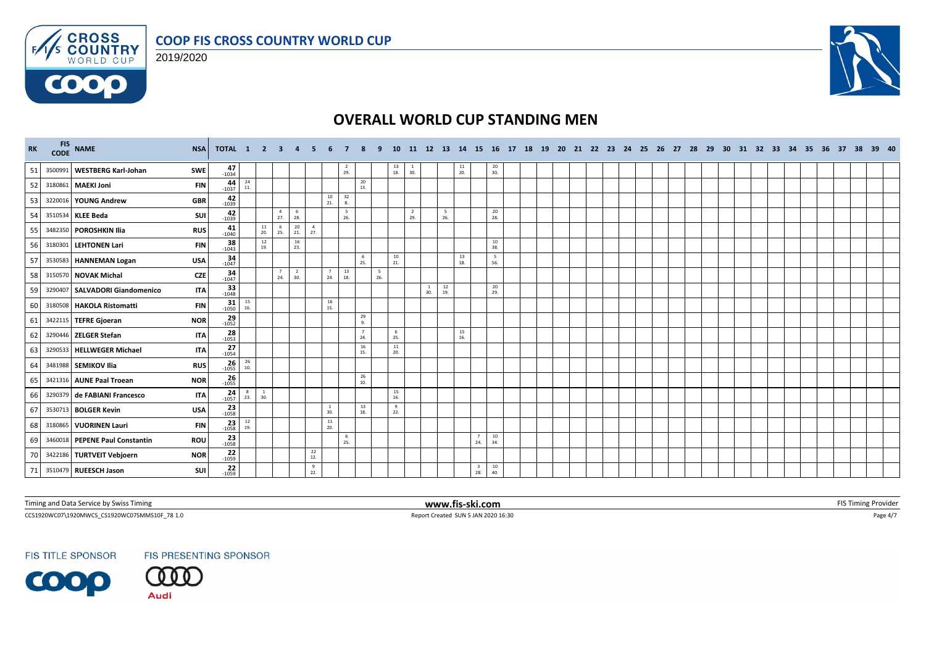





| <b>RK</b> | CODE    | FIS NAME                         | <b>NSA</b> | <b>TOTAL 1 2 3</b>                            |           |                     |                       |                       |                       |                                          |                                         |          | 10                                       |                  | 11 12 13 14         |                                          |                 |                        |                 | 15 16 17 18 19 20 21 22 23 24 25 26 27 28 29 |  |  |  |  |  |  |  |  | 30 31 32 33 34 35 36 37 38 39 40 |  |  |
|-----------|---------|----------------------------------|------------|-----------------------------------------------|-----------|---------------------|-----------------------|-----------------------|-----------------------|------------------------------------------|-----------------------------------------|----------|------------------------------------------|------------------|---------------------|------------------------------------------|-----------------|------------------------|-----------------|----------------------------------------------|--|--|--|--|--|--|--|--|----------------------------------|--|--|
| 51        | 3500991 | <b>WESTBERG Karl-Johan</b>       | <b>SWE</b> | $47 - 1034$                                   |           |                     |                       |                       |                       |                                          | $\frac{2}{29}$                          |          | $\begin{array}{c} 13 \\ 18. \end{array}$ | $\frac{1}{30}$   |                     |                                          | $\frac{11}{20}$ |                        | $\frac{20}{30}$ |                                              |  |  |  |  |  |  |  |  |                                  |  |  |
| 52        |         | 3180861 MAEKI Joni               | <b>FIN</b> | $44 - 1037$                                   | 24<br>11. |                     |                       |                       |                       |                                          | 20<br>13.                               |          |                                          |                  |                     |                                          |                 |                        |                 |                                              |  |  |  |  |  |  |  |  |                                  |  |  |
| 53        |         | 3220016 YOUNG Andrew             | <b>GBR</b> | 42<br>$-1039$                                 |           |                     |                       |                       |                       | 10<br>21.                                | 32<br>8.                                |          |                                          |                  |                     |                                          |                 |                        |                 |                                              |  |  |  |  |  |  |  |  |                                  |  |  |
| 54        |         | 3510534 KLEE Beda                | SUI        | 42<br>$-1039$                                 |           |                     | $\overline{4}$<br>27. | 6<br>28.              |                       |                                          | $5\overline{5}$<br>26.                  |          |                                          | $\frac{2}{29}$ . |                     | 5<br>26.                                 |                 |                        | 20<br>28.       |                                              |  |  |  |  |  |  |  |  |                                  |  |  |
| 55        |         | 3482350 POROSHKIN Ilia           | <b>RUS</b> | 41<br>$-1040$                                 |           | 11<br>20.           | 6<br>25.              | 20<br>21.             | $\overline{4}$<br>27. |                                          |                                         |          |                                          |                  |                     |                                          |                 |                        |                 |                                              |  |  |  |  |  |  |  |  |                                  |  |  |
| 56        |         | 3180301 LEHTONEN Lari            | <b>FIN</b> | $38 - 1043$                                   |           | 12<br>19.           |                       | 16<br>23.             |                       |                                          |                                         |          |                                          |                  |                     |                                          |                 |                        | 10<br>38.       |                                              |  |  |  |  |  |  |  |  |                                  |  |  |
| 57        |         | 3530583 HANNEMAN Logan           | <b>USA</b> | $34 - 1047$                                   |           |                     |                       |                       |                       |                                          | - 6<br>25.                              |          | 10<br>21.                                |                  |                     |                                          | 13<br>18.       |                        | 5<br>56.        |                                              |  |  |  |  |  |  |  |  |                                  |  |  |
| 58        |         | 3150570 NOVAK Michal             | <b>CZE</b> | $\begin{array}{c}\n 34 \\ -1047\n\end{array}$ |           |                     | $\overline{7}$<br>24. | $\overline{2}$<br>30. |                       | 24.                                      | 13<br>18.                               | 5<br>26. |                                          |                  |                     |                                          |                 |                        |                 |                                              |  |  |  |  |  |  |  |  |                                  |  |  |
| 59        |         | 3290407   SALVADORI Giandomenico | <b>ITA</b> | $33$ <sub>-1048</sub>                         |           |                     |                       |                       |                       |                                          |                                         |          |                                          |                  | $\mathbf{1}$<br>30. | $\begin{array}{c} 12 \\ 19. \end{array}$ |                 |                        | 20<br>29.       |                                              |  |  |  |  |  |  |  |  |                                  |  |  |
| 60        |         | 3180508 HAKOLA Ristomatti        | <b>FIN</b> | $31 - 1050$                                   | 15<br>16. |                     |                       |                       |                       | $\begin{array}{c} 16 \\ 15. \end{array}$ |                                         |          |                                          |                  |                     |                                          |                 |                        |                 |                                              |  |  |  |  |  |  |  |  |                                  |  |  |
| 61        |         | 3422115 TEFRE Gjoeran            | <b>NOR</b> | $\frac{29}{-1052}$                            |           |                     |                       |                       |                       |                                          | 29<br>9.                                |          |                                          |                  |                     |                                          |                 |                        |                 |                                              |  |  |  |  |  |  |  |  |                                  |  |  |
| 62        |         | 3290446 ZELGER Stefan            | <b>ITA</b> | $28 - 1053$                                   |           |                     |                       |                       |                       |                                          | $\overline{7}$<br>24.                   |          | 6<br>25.                                 |                  |                     |                                          | 15<br>16.       |                        |                 |                                              |  |  |  |  |  |  |  |  |                                  |  |  |
| 63        |         | 3290533 HELLWEGER Michael        | <b>ITA</b> | $27 - 1054$                                   |           |                     |                       |                       |                       |                                          | 16<br>15.                               |          | 11<br>20.                                |                  |                     |                                          |                 |                        |                 |                                              |  |  |  |  |  |  |  |  |                                  |  |  |
| 64        |         | 3481988 SEMIKOV Ilia             | <b>RUS</b> | $26 - 1055$                                   | 26<br>10. |                     |                       |                       |                       |                                          |                                         |          |                                          |                  |                     |                                          |                 |                        |                 |                                              |  |  |  |  |  |  |  |  |                                  |  |  |
| 65        |         | 3421316 AUNE Paal Troean         | <b>NOR</b> | 26<br>$-1055$                                 |           |                     |                       |                       |                       |                                          | 26<br>10.                               |          |                                          |                  |                     |                                          |                 |                        |                 |                                              |  |  |  |  |  |  |  |  |                                  |  |  |
| 66        |         | 3290379 de FABIANI Francesco     | <b>ITA</b> | $24 - 1057$                                   | 8<br>23.  | <sup>1</sup><br>30. |                       |                       |                       |                                          |                                         |          | 15<br>16.                                |                  |                     |                                          |                 |                        |                 |                                              |  |  |  |  |  |  |  |  |                                  |  |  |
| 67        |         | 3530713 BOLGER Kevin             | <b>USA</b> | $23 - 1058$                                   |           |                     |                       |                       |                       | $\mathbf{1}$<br>30.                      | 13<br>18.                               |          | 9<br>22.                                 |                  |                     |                                          |                 |                        |                 |                                              |  |  |  |  |  |  |  |  |                                  |  |  |
| 68        |         | 3180865 VUORINEN Lauri           | <b>FIN</b> | $23 - 1058$                                   | 12<br>19. |                     |                       |                       |                       | 11<br>20.                                |                                         |          |                                          |                  |                     |                                          |                 |                        |                 |                                              |  |  |  |  |  |  |  |  |                                  |  |  |
| 69        |         | 3460018 PEPENE Paul Constantin   | ROU        | $23 - 1058$                                   |           |                     |                       |                       |                       |                                          | $\begin{array}{c} 6 \\ 25. \end{array}$ |          |                                          |                  |                     |                                          |                 | $7\overline{ }$<br>24. | 10<br>34.       |                                              |  |  |  |  |  |  |  |  |                                  |  |  |
| 70        |         | 3422186 TURTVEIT Vebjoern        | <b>NOR</b> | $22$<br>-1059                                 |           |                     |                       |                       | 22<br>12.             |                                          |                                         |          |                                          |                  |                     |                                          |                 |                        |                 |                                              |  |  |  |  |  |  |  |  |                                  |  |  |
| 71        |         | 3510479 RUEESCH Jason            | SUI        | 22<br>$-1059$                                 |           |                     |                       |                       | $\frac{9}{22}$        |                                          |                                         |          |                                          |                  |                     |                                          |                 | $\frac{3}{28}$         | 10<br>40.       |                                              |  |  |  |  |  |  |  |  |                                  |  |  |

Timing and Data Service by Swiss Timing **WWW.fis-ski.com WWW.fis-ski.com FIS Timing Provider** FIS Timing Provider

CCS1920WC07\1920MWCS\_CS1920WC07SMMS10F\_78 1.0 Report Created SUN 5 JAN 2020 16:30 Page 4/7

**FIS TITLE SPONSOR** 

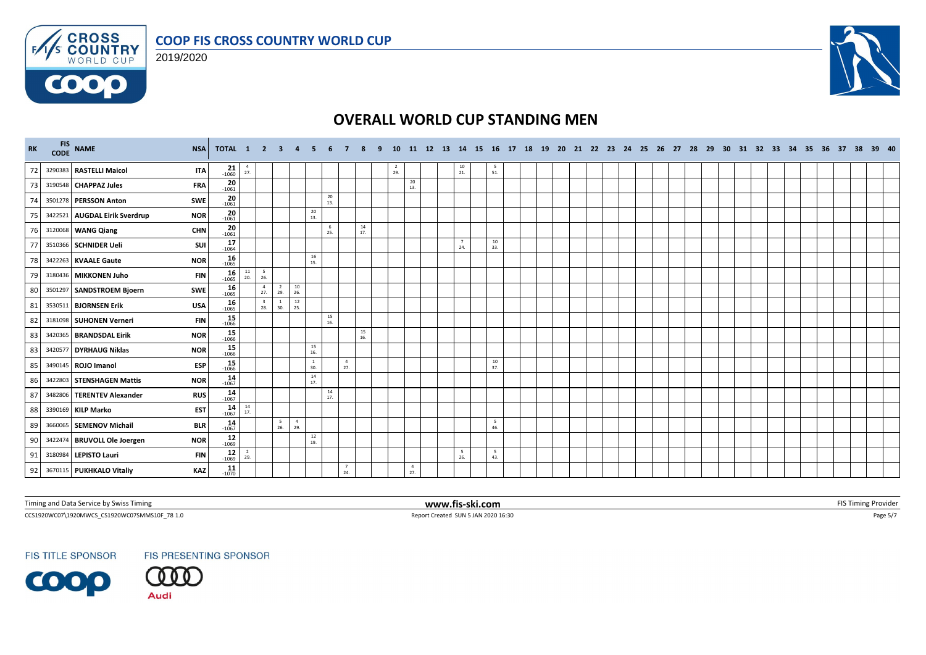





| RK | FIS NAME                      | <b>NSA</b> | TOTAL 1 2 3 4        |                       |                                |                       |                       | - 5                                      |                 |                       | - 9       |                  |                       |  |                 |           |  |  |  |  |  |  |  |  |  | 10 11 12 13 14 15 16 17 18 19 20 21 22 23 24 25 26 27 28 29 30 31 32 33 34 35 36 37 38 39 40 |  |
|----|-------------------------------|------------|----------------------|-----------------------|--------------------------------|-----------------------|-----------------------|------------------------------------------|-----------------|-----------------------|-----------|------------------|-----------------------|--|-----------------|-----------|--|--|--|--|--|--|--|--|--|----------------------------------------------------------------------------------------------|--|
| 72 | 3290383 RASTELLI Maicol       | <b>ITA</b> | $\frac{21}{1060}$    | $\overline{4}$<br>27. |                                |                       |                       |                                          |                 |                       |           | $\frac{2}{29}$ . |                       |  | $\frac{10}{21}$ | 51.       |  |  |  |  |  |  |  |  |  |                                                                                              |  |
| 73 | 3190548 CHAPPAZ Jules         | <b>FRA</b> | 20<br>$-1061$        |                       |                                |                       |                       |                                          |                 |                       |           |                  | 20<br>13.             |  |                 |           |  |  |  |  |  |  |  |  |  |                                                                                              |  |
| 74 | 3501278 PERSSON Anton         | SWE        | 20<br>$-1061$        |                       |                                |                       |                       |                                          | 20<br>13.       |                       |           |                  |                       |  |                 |           |  |  |  |  |  |  |  |  |  |                                                                                              |  |
| 75 | 3422521 AUGDAL Eirik Sverdrup | <b>NOR</b> | 20<br>$-1061$        |                       |                                |                       |                       | $\begin{array}{c} 20 \\ 13. \end{array}$ |                 |                       |           |                  |                       |  |                 |           |  |  |  |  |  |  |  |  |  |                                                                                              |  |
| 76 | 3120068 WANG Qiang            | <b>CHN</b> | $\frac{20}{1061}$    |                       |                                |                       |                       |                                          | 6<br>25.        |                       | 14<br>17. |                  |                       |  |                 |           |  |  |  |  |  |  |  |  |  |                                                                                              |  |
| 77 | 3510366 SCHNIDER Ueli         | SUI        | $17 - 1064$          |                       |                                |                       |                       |                                          |                 |                       |           |                  |                       |  | 7<br>24.        | 10<br>33. |  |  |  |  |  |  |  |  |  |                                                                                              |  |
| 78 | 3422263 KVAALE Gaute          | <b>NOR</b> | $16 - 1065$          |                       |                                |                       |                       | 16<br>15.                                |                 |                       |           |                  |                       |  |                 |           |  |  |  |  |  |  |  |  |  |                                                                                              |  |
| 79 | 3180436 MIKKONEN Juho         | <b>FIN</b> | $16 - 1065$          | 11<br>20.             | 5<br>26.                       |                       |                       |                                          |                 |                       |           |                  |                       |  |                 |           |  |  |  |  |  |  |  |  |  |                                                                                              |  |
| 80 | 3501297 SANDSTROEM Bjoern     | SWE        | $16$ <sub>1065</sub> |                       | $\overline{4}$<br>27.          | $\overline{2}$<br>29. | $\frac{10}{26}$       |                                          |                 |                       |           |                  |                       |  |                 |           |  |  |  |  |  |  |  |  |  |                                                                                              |  |
| 81 | 3530511 BJORNSEN Erik         | <b>USA</b> | $16 - 1065$          |                       | $\overline{\mathbf{3}}$<br>28. | 30.                   | 12<br>25.             |                                          |                 |                       |           |                  |                       |  |                 |           |  |  |  |  |  |  |  |  |  |                                                                                              |  |
| 82 | 3181098 SUHONEN Verneri       | <b>FIN</b> | $15 - 1066$          |                       |                                |                       |                       |                                          | 15<br>16.       |                       |           |                  |                       |  |                 |           |  |  |  |  |  |  |  |  |  |                                                                                              |  |
| 83 | 3420365 BRANDSDAL Eirik       | <b>NOR</b> | $15 - 1066$          |                       |                                |                       |                       |                                          |                 |                       | 15<br>16. |                  |                       |  |                 |           |  |  |  |  |  |  |  |  |  |                                                                                              |  |
| 83 | 3420577 DYRHAUG Niklas        | <b>NOR</b> | $15 - 1066$          |                       |                                |                       |                       | 15<br>16.                                |                 |                       |           |                  |                       |  |                 |           |  |  |  |  |  |  |  |  |  |                                                                                              |  |
| 85 | 3490145 ROJO Imanol           | <b>ESP</b> | $15 - 1066$          |                       |                                |                       |                       | $\mathbf{1}$<br>30.                      |                 | $\overline{4}$<br>27. |           |                  |                       |  |                 | 10<br>37. |  |  |  |  |  |  |  |  |  |                                                                                              |  |
| 86 | 3422803 STENSHAGEN Mattis     | <b>NOR</b> | $14 - 1067$          |                       |                                |                       |                       | 14<br>17.                                |                 |                       |           |                  |                       |  |                 |           |  |  |  |  |  |  |  |  |  |                                                                                              |  |
| 87 | 3482806 TERENTEV Alexander    | <b>RUS</b> | $14 - 1067$          |                       |                                |                       |                       |                                          | $\frac{14}{17}$ |                       |           |                  |                       |  |                 |           |  |  |  |  |  |  |  |  |  |                                                                                              |  |
| 88 | 3390169 KILP Marko            | <b>EST</b> | $14 - 1067$          | 14<br>17.             |                                |                       |                       |                                          |                 |                       |           |                  |                       |  |                 |           |  |  |  |  |  |  |  |  |  |                                                                                              |  |
| 89 | 3660065 SEMENOV Michail       | <b>BLR</b> | $14 - 1067$          |                       |                                | 5<br>26.              | $\overline{4}$<br>29. |                                          |                 |                       |           |                  |                       |  |                 | -5<br>46. |  |  |  |  |  |  |  |  |  |                                                                                              |  |
| 90 | 3422474 BRUVOLL Ole Joergen   | <b>NOR</b> | $12 - 1069$          |                       |                                |                       |                       | 12<br>19.                                |                 |                       |           |                  |                       |  |                 |           |  |  |  |  |  |  |  |  |  |                                                                                              |  |
| 91 | 3180984 LEPISTO Lauri         | <b>FIN</b> | $12 - 1069$          | $\overline{2}$<br>29. |                                |                       |                       |                                          |                 |                       |           |                  |                       |  | 5<br>26.        | 5<br>43.  |  |  |  |  |  |  |  |  |  |                                                                                              |  |
| 92 | 3670115 PUKHKALO Vitaliy      | <b>KAZ</b> | 11<br>$-1070$        |                       |                                |                       |                       |                                          |                 | 7<br>24.              |           |                  | $\overline{4}$<br>27. |  |                 |           |  |  |  |  |  |  |  |  |  |                                                                                              |  |

Timing and Data Service by Swiss Timing **WWW.fis-ski.com WWW.fis-ski.com FIS Timing Provider** FIS Timing Provider

CCS1920WC07\1920MWCS\_CS1920WC07SMMS10F\_78 1.0 Report Created SUN 5 JAN 2020 16:30 Page 5/7

**FIS TITLE SPONSOR** 

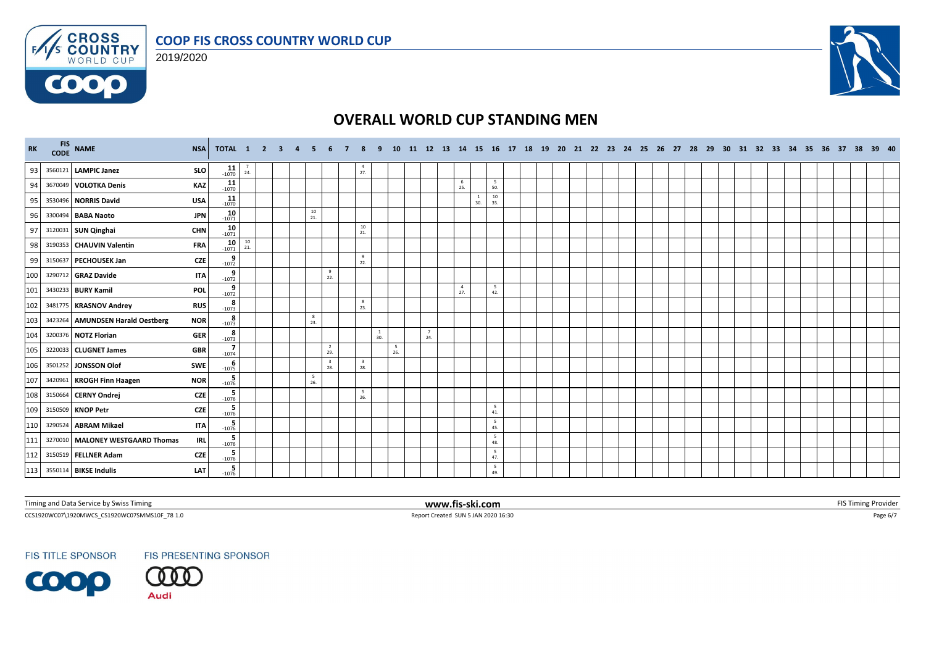





| RK  | FIS NAME                         | <b>NSA</b> | TOTAL 1 2 3 4             |           |  |           |                                |                                 | 10 <sup>1</sup> |          |                       |                     |           | 11 12 13 14 15 16 17 18 19 20 21 22 23 24 25 26 27 28 29 30 31 32 33 34 35 36 37 38 39 40 |  |  |  |  |  |  |  |  |  |  |
|-----|----------------------------------|------------|---------------------------|-----------|--|-----------|--------------------------------|---------------------------------|-----------------|----------|-----------------------|---------------------|-----------|-------------------------------------------------------------------------------------------|--|--|--|--|--|--|--|--|--|--|
| 93  | 3560121 LAMPIC Janez             | <b>SLO</b> | $11$<br>-1070             | 24.       |  |           |                                | $\frac{4}{27}$                  |                 |          |                       |                     |           |                                                                                           |  |  |  |  |  |  |  |  |  |  |
| 94  | 3670049 VOLOTKA Denis            | <b>KAZ</b> | 11<br>$-1070$             |           |  |           |                                |                                 |                 |          | 6<br>25.              |                     | -5<br>50. |                                                                                           |  |  |  |  |  |  |  |  |  |  |
| 95  | 3530496 NORRIS David             | <b>USA</b> | $11$ <sub>-1070</sub>     |           |  |           |                                |                                 |                 |          |                       | $\mathbf{1}$<br>30. | 10<br>35. |                                                                                           |  |  |  |  |  |  |  |  |  |  |
| 96  | 3300494 BABA Naoto               | <b>JPN</b> | $10$<br>$1071$            |           |  | 10<br>21. |                                |                                 |                 |          |                       |                     |           |                                                                                           |  |  |  |  |  |  |  |  |  |  |
| 97  | 3120031 SUN Qinghai              | <b>CHN</b> | $10 - 1071$               |           |  |           |                                | 10<br>21.                       |                 |          |                       |                     |           |                                                                                           |  |  |  |  |  |  |  |  |  |  |
| 98  | 3190353 CHAUVIN Valentin         | <b>FRA</b> | $10 - 1071$               | 10<br>21. |  |           |                                |                                 |                 |          |                       |                     |           |                                                                                           |  |  |  |  |  |  |  |  |  |  |
| 99  | 3150637 PECHOUSEK Jan            | <b>CZE</b> | 9<br>$-1072$              |           |  |           |                                | $\frac{9}{22}$                  |                 |          |                       |                     |           |                                                                                           |  |  |  |  |  |  |  |  |  |  |
| 100 | 3290712 GRAZ Davide              | <b>ITA</b> | $\frac{9}{-1072}$         |           |  |           | 9<br>22.                       |                                 |                 |          |                       |                     |           |                                                                                           |  |  |  |  |  |  |  |  |  |  |
| 101 | 3430233 BURY Kamil               | <b>POL</b> | $9 - 1072$                |           |  |           |                                |                                 |                 |          | $\overline{4}$<br>27. |                     | -5<br>42. |                                                                                           |  |  |  |  |  |  |  |  |  |  |
| 102 | 3481775 KRASNOV Andrey           | <b>RUS</b> | 8<br>$-1073$              |           |  |           |                                | $_{\rm 8}$<br>23.               |                 |          |                       |                     |           |                                                                                           |  |  |  |  |  |  |  |  |  |  |
| 103 | 3423264 AMUNDSEN Harald Oestberg | <b>NOR</b> | $8 - 1073$                |           |  | 8<br>23.  |                                |                                 |                 |          |                       |                     |           |                                                                                           |  |  |  |  |  |  |  |  |  |  |
| 104 | 3200376 NOTZ Florian             | <b>GER</b> | -8<br>$-1073$             |           |  |           |                                | $\overline{1}$<br>30.           |                 | 7<br>24. |                       |                     |           |                                                                                           |  |  |  |  |  |  |  |  |  |  |
| 105 | 3220033 CLUGNET James            | <b>GBR</b> | $\overline{7}$<br>$-1074$ |           |  |           | $\overline{2}$<br>29.          |                                 | 5<br>26.        |          |                       |                     |           |                                                                                           |  |  |  |  |  |  |  |  |  |  |
| 106 | 3501252 JONSSON Olof             | SWE        | $-1075$                   |           |  |           | $\overline{\mathbf{3}}$<br>28. | $\overline{\mathbf{3}}$<br>28.  |                 |          |                       |                     |           |                                                                                           |  |  |  |  |  |  |  |  |  |  |
| 107 | 3420961 KROGH Finn Haagen        | <b>NOR</b> | -5<br>$-1076$             |           |  | 5<br>26.  |                                |                                 |                 |          |                       |                     |           |                                                                                           |  |  |  |  |  |  |  |  |  |  |
| 108 | 3150664 CERNY Ondrej             | <b>CZE</b> | $\frac{5}{-1076}$         |           |  |           |                                | $\overline{\phantom{0}}$<br>26. |                 |          |                       |                     |           |                                                                                           |  |  |  |  |  |  |  |  |  |  |
| 109 | 3150509 KNOP Petr                | <b>CZE</b> | $\frac{5}{1076}$          |           |  |           |                                |                                 |                 |          |                       |                     | 5<br>41.  |                                                                                           |  |  |  |  |  |  |  |  |  |  |
| 110 | 3290524 ABRAM Mikael             | <b>ITA</b> | $\frac{5}{-1076}$         |           |  |           |                                |                                 |                 |          |                       |                     | 5<br>45.  |                                                                                           |  |  |  |  |  |  |  |  |  |  |
| 111 | 3270010 MALONEY WESTGAARD Thomas | <b>IRL</b> | $\frac{5}{1076}$          |           |  |           |                                |                                 |                 |          |                       |                     | 5<br>48.  |                                                                                           |  |  |  |  |  |  |  |  |  |  |
| 112 | 3150519 FELLNER Adam             | <b>CZE</b> | $\frac{5}{-1076}$         |           |  |           |                                |                                 |                 |          |                       |                     | 5<br>47.  |                                                                                           |  |  |  |  |  |  |  |  |  |  |
|     | 113 3550114 BIKSE Indulis        | LAT        | $\frac{5}{-1076}$         |           |  |           |                                |                                 |                 |          |                       |                     | 5<br>49.  |                                                                                           |  |  |  |  |  |  |  |  |  |  |

Timing and Data Service by Swiss Timing **WWW.fis-ski.com WWW.fis-ski.com FIS Timing Provider** FIS Timing Provider

CCS1920WC07\1920MWCS\_CS1920WC07SMMS10F\_78 1.0 Report Created SUN 5 JAN 2020 16:30 Page 6/7

**FIS TITLE SPONSOR**